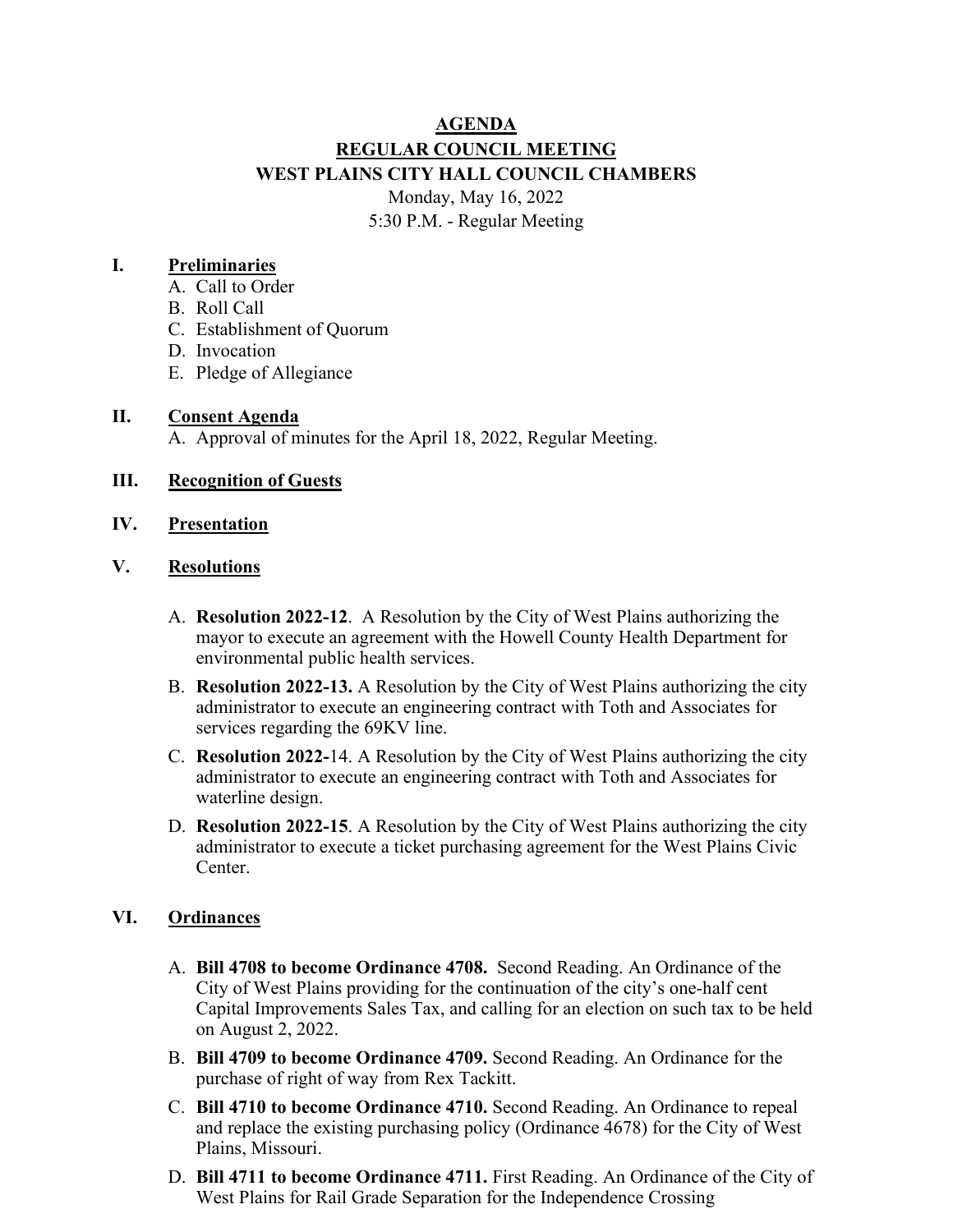# **AGENDA REGULAR COUNCIL MEETING WEST PLAINS CITY HALL COUNCIL CHAMBERS** Monday, May 16, 2022 5:30 P.M. - Regular Meeting

#### **I. Preliminaries**

- A. Call to Order
- B. Roll Call
- C. Establishment of Quorum
- D. Invocation
- E. Pledge of Allegiance

#### **II. Consent Agenda**

A. Approval of minutes for the April 18, 2022, Regular Meeting.

#### **III. Recognition of Guests**

**IV. Presentation**

#### **V. Resolutions**

- A. **Resolution 2022-12**. A Resolution by the City of West Plains authorizing the mayor to execute an agreement with the Howell County Health Department for environmental public health services.
- B. **Resolution 2022-13.** A Resolution by the City of West Plains authorizing the city administrator to execute an engineering contract with Toth and Associates for services regarding the 69KV line.
- C. **Resolution 2022-**14. A Resolution by the City of West Plains authorizing the city administrator to execute an engineering contract with Toth and Associates for waterline design.
- D. **Resolution 2022-15**. A Resolution by the City of West Plains authorizing the city administrator to execute a ticket purchasing agreement for the West Plains Civic Center.

## **VI. Ordinances**

- A. **Bill 4708 to become Ordinance 4708.** Second Reading. An Ordinance of the City of West Plains providing for the continuation of the city's one-half cent Capital Improvements Sales Tax, and calling for an election on such tax to be held on August 2, 2022.
- B. **Bill 4709 to become Ordinance 4709.** Second Reading. An Ordinance for the purchase of right of way from Rex Tackitt.
- C. **Bill 4710 to become Ordinance 4710.** Second Reading. An Ordinance to repeal and replace the existing purchasing policy (Ordinance 4678) for the City of West Plains, Missouri.
- D. **Bill 4711 to become Ordinance 4711.** First Reading. An Ordinance of the City of West Plains for Rail Grade Separation for the Independence Crossing